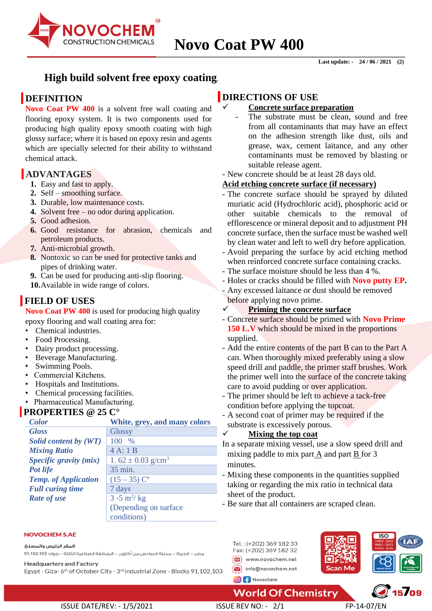

## **High build solvent free epoxy coating***.*

# **DEFINITION**

**Novo Coat PW 400** is a solvent free wall coating and flooring epoxy system. It is two components used for producing high quality epoxy smooth coating with high glossy surface; where it is based on epoxy resin and agents which are specially selected for their ability to withstand chemical attack.

# **ADVANTAGES**

- **1.** Easy and fast to apply.
- **2.** Self smoothing surface.
- **3.** Durable, low maintenance costs.
- **4.** Solvent free no odor during application.
- **5.** Good adhesion.
- **6.** Good resistance for abrasion, chemicals and petroleum products.
- **7.** Anti-microbial growth.
- **8.** Nontoxic so can be used for protective tanks and pipes of drinking water.
- **9.** Can be used for producing anti-slip flooring.

**10.**Available in wide range of colors.

# **FIELD OF USES**

**Novo Coat PW 400** is used for producing high quality epoxy flooring and wall coating area for:

- Chemical industries.
- Food Processing.
- Dairy product processing.
- Beverage Manufacturing.
- Swimming Pools.
- Commercial Kitchens.
- Hospitals and Institutions.
- Chemical processing facilities.
- Pharmaceutical Manufacturing.

## **PROPERTIES @ 25 C°**

| <b>Color</b>                | White, grey, and many colors      |  |
|-----------------------------|-----------------------------------|--|
| <b>Gloss</b>                | <b>Glossy</b>                     |  |
| Solid content by (WT)       | $\%$<br>100                       |  |
| <b>Mixing Ratio</b>         | 4A:1B                             |  |
| Specific gravity (mix)      | 1.62 $\pm$ 0.03 g/cm <sup>3</sup> |  |
| Pot life                    | 35 min.                           |  |
| <b>Temp.</b> of Application | $(15-35)$ C <sup>o</sup>          |  |
| <b>Full curing time</b>     | 7 days                            |  |
| <b>Rate of use</b>          | $3 - 5$ m <sup>2</sup> /kg        |  |
|                             | (Depending on surface)            |  |
|                             | conditions)                       |  |

#### **NOVOCHEM S.AF**

المقر الرئيس والمصنع

مصر – الجيزة – مدينة السادس من أكتوبر – المنطقة الصناعية الثالثة – بلوك 1،102،103 91،102

**Headquarters and Factory** 

Egypt - Giza-6<sup>th</sup> of October City - 3<sup>rd</sup> Industrial Zone - Blocks 91,102,103

## **DIRECTIONS OF USE**

### ✓ **Concrete surface preparation**

- The substrate must be clean, sound and free from all contaminants that may have an effect on the adhesion strength like dust, oils and grease, wax, cement laitance, and any other contaminants must be removed by blasting or suitable release agent.
- New concrete should be at least 28 days old.

### **Acid etching concrete surface (if necessary)**

- The concrete surface should be sprayed by diluted muriatic acid (Hydrochloric acid), phosphoric acid or other suitable chemicals to the removal of efflorescence or mineral deposit and to adjustment PH concrete surface, then the surface must be washed well by clean water and left to well dry before application.
- Avoid preparing the surface by acid etching method when reinforced concrete surface containing cracks.
- The surface moisture should be less than 4 %.
- Holes or cracks should be filled with **Novo putty EP.**
- Any excessed laitance or dust should be removed before applying novo prime.

### ✓ **Priming the concrete surface**

- Concrete surface should be primed with **Novo Prime**  150 L.V which should be mixed in the proportions supplied.
- Add the entire contents of the part B can to the Part A can. When thoroughly mixed preferably using a slow speed drill and paddle, the primer staff brushes. Work the primer well into the surface of the concrete taking care to avoid pudding or over application.
- The primer should be left to achieve a tack-free condition before applying the topcoat.
- A second coat of primer may be required if the substrate is excessively porous.

### ✓ **Mixing the top coat**

In a separate mixing vessel, use a slow speed drill and mixing paddle to mix part A and part B for 3 minutes.

- Mixing these components in the quantities supplied taking or regarding the mix ratio in technical data sheet of the product.

- Be sure that all containers are scraped clean.





 $\sqrt{15/09}$ 

**World Of Chemistry** 

ISSUE DATE/REV: - 1/5/2021 ISSUE REV NO: - 2/1 FP-14-07/EN